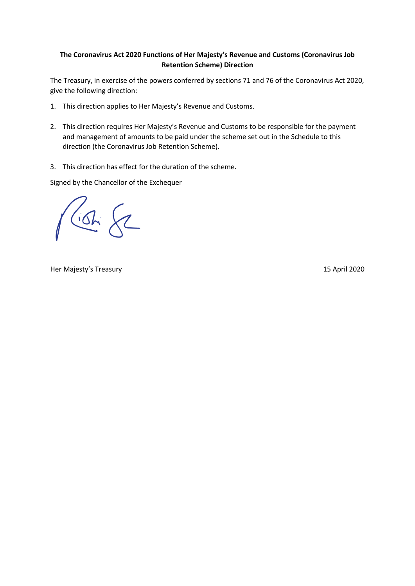## **The Coronavirus Act 2020 Functions of Her Majesty's Revenue and Customs (Coronavirus Job Retention Scheme) Direction**

The Treasury, in exercise of the powers conferred by sections 71 and 76 of the Coronavirus Act 2020, give the following direction:

- 1. This direction applies to Her Majesty's Revenue and Customs.
- 2. This direction requires Her Majesty's Revenue and Customs to be responsible for the payment and management of amounts to be paid under the scheme set out in the Schedule to this direction (the Coronavirus Job Retention Scheme).
- 3. This direction has effect for the duration of the scheme.

Signed by the Chancellor of the Exchequer

 $6622$ 

Her Majesty's Treasury 15 April 2020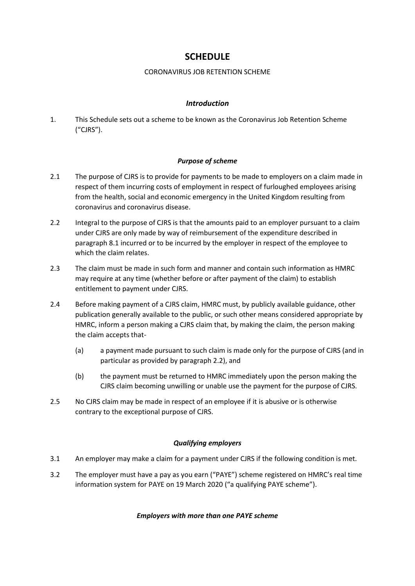# **SCHEDULE**

## CORONAVIRUS JOB RETENTION SCHEME

## *Introduction*

1. This Schedule sets out a scheme to be known as the Coronavirus Job Retention Scheme ("CJRS").

## *Purpose of scheme*

- 2.1 The purpose of CJRS is to provide for payments to be made to employers on a claim made in respect of them incurring costs of employment in respect of furloughed employees arising from the health, social and economic emergency in the United Kingdom resulting from coronavirus and coronavirus disease.
- 2.2 Integral to the purpose of CJRS is that the amounts paid to an employer pursuant to a claim under CJRS are only made by way of reimbursement of the expenditure described in paragraph 8.1 incurred or to be incurred by the employer in respect of the employee to which the claim relates.
- 2.3 The claim must be made in such form and manner and contain such information as HMRC may require at any time (whether before or after payment of the claim) to establish entitlement to payment under CJRS.
- 2.4 Before making payment of a CJRS claim, HMRC must, by publicly available guidance, other publication generally available to the public, or such other means considered appropriate by HMRC, inform a person making a CJRS claim that, by making the claim, the person making the claim accepts that-
	- (a) a payment made pursuant to such claim is made only for the purpose of CJRS (and in particular as provided by paragraph 2.2), and
	- (b) the payment must be returned to HMRC immediately upon the person making the CJRS claim becoming unwilling or unable use the payment for the purpose of CJRS.
- 2.5 No CJRS claim may be made in respect of an employee if it is abusive or is otherwise contrary to the exceptional purpose of CJRS.

## *Qualifying employers*

- 3.1 An employer may make a claim for a payment under CJRS if the following condition is met.
- 3.2 The employer must have a pay as you earn ("PAYE") scheme registered on HMRC's real time information system for PAYE on 19 March 2020 ("a qualifying PAYE scheme").

## *Employers with more than one PAYE scheme*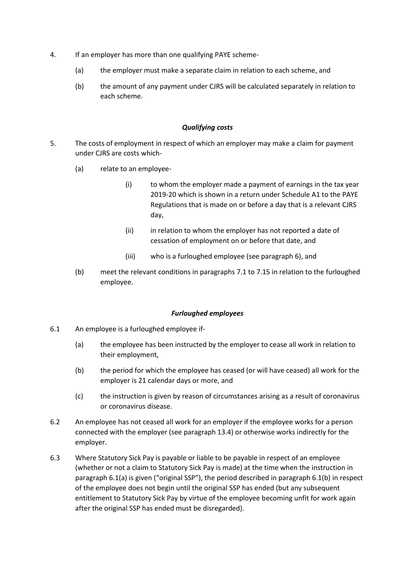- 4. If an employer has more than one qualifying PAYE scheme-
	- (a) the employer must make a separate claim in relation to each scheme, and
	- (b) the amount of any payment under CJRS will be calculated separately in relation to each scheme.

#### *Qualifying costs*

- 5. The costs of employment in respect of which an employer may make a claim for payment under CJRS are costs which-
	- (a) relate to an employee-
		- (i) to whom the employer made a payment of earnings in the tax year 2019-20 which is shown in a return under Schedule A1 to the PAYE Regulations that is made on or before a day that is a relevant CJRS day,
		- (ii) in relation to whom the employer has not reported a date of cessation of employment on or before that date, and
		- (iii) who is a furloughed employee (see paragraph 6), and
	- (b) meet the relevant conditions in paragraphs 7.1 to 7.15 in relation to the furloughed employee.

#### *Furloughed employees*

- 6.1 An employee is a furloughed employee if-
	- (a) the employee has been instructed by the employer to cease all work in relation to their employment,
	- (b) the period for which the employee has ceased (or will have ceased) all work for the employer is 21 calendar days or more, and
	- (c) the instruction is given by reason of circumstances arising as a result of coronavirus or coronavirus disease.
- 6.2 An employee has not ceased all work for an employer if the employee works for a person connected with the employer (see paragraph 13.4) or otherwise works indirectly for the employer.
- 6.3 Where Statutory Sick Pay is payable or liable to be payable in respect of an employee (whether or not a claim to Statutory Sick Pay is made) at the time when the instruction in paragraph 6.1(a) is given ("original SSP"), the period described in paragraph 6.1(b) in respect of the employee does not begin until the original SSP has ended (but any subsequent entitlement to Statutory Sick Pay by virtue of the employee becoming unfit for work again after the original SSP has ended must be disregarded).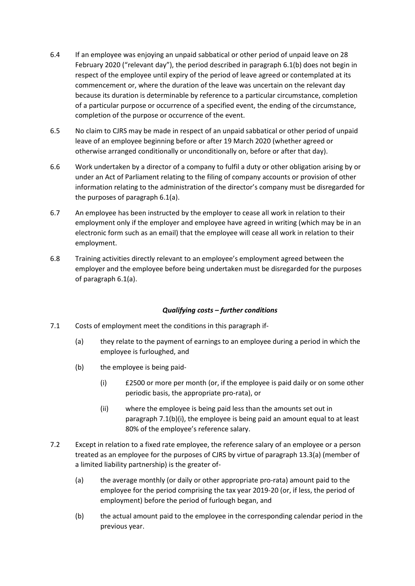- 6.4 If an employee was enjoying an unpaid sabbatical or other period of unpaid leave on 28 February 2020 ("relevant day"), the period described in paragraph 6.1(b) does not begin in respect of the employee until expiry of the period of leave agreed or contemplated at its commencement or, where the duration of the leave was uncertain on the relevant day because its duration is determinable by reference to a particular circumstance, completion of a particular purpose or occurrence of a specified event, the ending of the circumstance, completion of the purpose or occurrence of the event.
- 6.5 No claim to CJRS may be made in respect of an unpaid sabbatical or other period of unpaid leave of an employee beginning before or after 19 March 2020 (whether agreed or otherwise arranged conditionally or unconditionally on, before or after that day).
- 6.6 Work undertaken by a director of a company to fulfil a duty or other obligation arising by or under an Act of Parliament relating to the filing of company accounts or provision of other information relating to the administration of the director's company must be disregarded for the purposes of paragraph 6.1(a).
- 6.7 An employee has been instructed by the employer to cease all work in relation to their employment only if the employer and employee have agreed in writing (which may be in an electronic form such as an email) that the employee will cease all work in relation to their employment.
- 6.8 Training activities directly relevant to an employee's employment agreed between the employer and the employee before being undertaken must be disregarded for the purposes of paragraph 6.1(a).

## *Qualifying costs – further conditions*

- 7.1 Costs of employment meet the conditions in this paragraph if-
	- (a) they relate to the payment of earnings to an employee during a period in which the employee is furloughed, and
	- (b) the employee is being paid-
		- (i) £2500 or more per month (or, if the employee is paid daily or on some other periodic basis, the appropriate pro-rata), or
		- (ii) where the employee is being paid less than the amounts set out in paragraph 7.1(b)(i), the employee is being paid an amount equal to at least 80% of the employee's reference salary.
- 7.2 Except in relation to a fixed rate employee, the reference salary of an employee or a person treated as an employee for the purposes of CJRS by virtue of paragraph 13.3(a) (member of a limited liability partnership) is the greater of-
	- (a) the average monthly (or daily or other appropriate pro-rata) amount paid to the employee for the period comprising the tax year 2019-20 (or, if less, the period of employment) before the period of furlough began, and
	- (b) the actual amount paid to the employee in the corresponding calendar period in the previous year.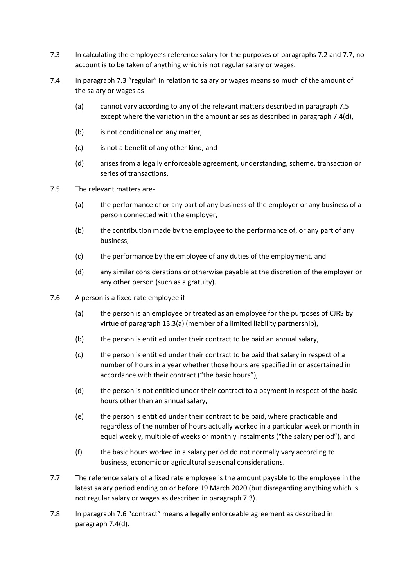- 7.3 In calculating the employee's reference salary for the purposes of paragraphs 7.2 and 7.7, no account is to be taken of anything which is not regular salary or wages.
- 7.4 In paragraph 7.3 "regular" in relation to salary or wages means so much of the amount of the salary or wages as-
	- (a) cannot vary according to any of the relevant matters described in paragraph 7.5 except where the variation in the amount arises as described in paragraph 7.4(d),
	- (b) is not conditional on any matter,
	- (c) is not a benefit of any other kind, and
	- (d) arises from a legally enforceable agreement, understanding, scheme, transaction or series of transactions.
- 7.5 The relevant matters are-
	- (a) the performance of or any part of any business of the employer or any business of a person connected with the employer,
	- (b) the contribution made by the employee to the performance of, or any part of any business,
	- (c) the performance by the employee of any duties of the employment, and
	- (d) any similar considerations or otherwise payable at the discretion of the employer or any other person (such as a gratuity).
- 7.6 A person is a fixed rate employee if-
	- (a) the person is an employee or treated as an employee for the purposes of CJRS by virtue of paragraph 13.3(a) (member of a limited liability partnership),
	- (b) the person is entitled under their contract to be paid an annual salary,
	- (c) the person is entitled under their contract to be paid that salary in respect of a number of hours in a year whether those hours are specified in or ascertained in accordance with their contract ("the basic hours"),
	- (d) the person is not entitled under their contract to a payment in respect of the basic hours other than an annual salary,
	- (e) the person is entitled under their contract to be paid, where practicable and regardless of the number of hours actually worked in a particular week or month in equal weekly, multiple of weeks or monthly instalments ("the salary period"), and
	- (f) the basic hours worked in a salary period do not normally vary according to business, economic or agricultural seasonal considerations.
- 7.7 The reference salary of a fixed rate employee is the amount payable to the employee in the latest salary period ending on or before 19 March 2020 (but disregarding anything which is not regular salary or wages as described in paragraph 7.3).
- 7.8 In paragraph 7.6 "contract" means a legally enforceable agreement as described in paragraph 7.4(d).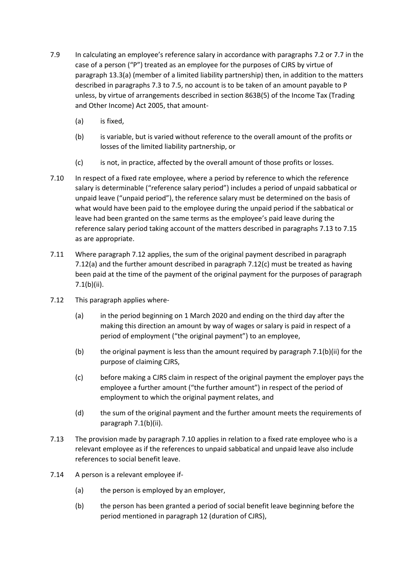- 7.9 In calculating an employee's reference salary in accordance with paragraphs 7.2 or 7.7 in the case of a person ("P") treated as an employee for the purposes of CJRS by virtue of paragraph 13.3(a) (member of a limited liability partnership) then, in addition to the matters described in paragraphs 7.3 to 7.5, no account is to be taken of an amount payable to P unless, by virtue of arrangements described in section 863B(5) of the Income Tax (Trading and Other Income) Act 2005, that amount-
	- (a) is fixed,
	- (b) is variable, but is varied without reference to the overall amount of the profits or losses of the limited liability partnership, or
	- (c) is not, in practice, affected by the overall amount of those profits or losses.
- 7.10 In respect of a fixed rate employee, where a period by reference to which the reference salary is determinable ("reference salary period") includes a period of unpaid sabbatical or unpaid leave ("unpaid period"), the reference salary must be determined on the basis of what would have been paid to the employee during the unpaid period if the sabbatical or leave had been granted on the same terms as the employee's paid leave during the reference salary period taking account of the matters described in paragraphs 7.13 to 7.15 as are appropriate.
- 7.11 Where paragraph 7.12 applies, the sum of the original payment described in paragraph 7.12(a) and the further amount described in paragraph 7.12(c) must be treated as having been paid at the time of the payment of the original payment for the purposes of paragraph 7.1(b)(ii).
- 7.12 This paragraph applies where-
	- (a) in the period beginning on 1 March 2020 and ending on the third day after the making this direction an amount by way of wages or salary is paid in respect of a period of employment ("the original payment") to an employee,
	- (b) the original payment is less than the amount required by paragraph 7.1(b)(ii) for the purpose of claiming CJRS,
	- (c) before making a CJRS claim in respect of the original payment the employer pays the employee a further amount ("the further amount") in respect of the period of employment to which the original payment relates, and
	- (d) the sum of the original payment and the further amount meets the requirements of paragraph 7.1(b)(ii).
- 7.13 The provision made by paragraph 7.10 applies in relation to a fixed rate employee who is a relevant employee as if the references to unpaid sabbatical and unpaid leave also include references to social benefit leave.
- 7.14 A person is a relevant employee if-
	- (a) the person is employed by an employer,
	- (b) the person has been granted a period of social benefit leave beginning before the period mentioned in paragraph 12 (duration of CJRS),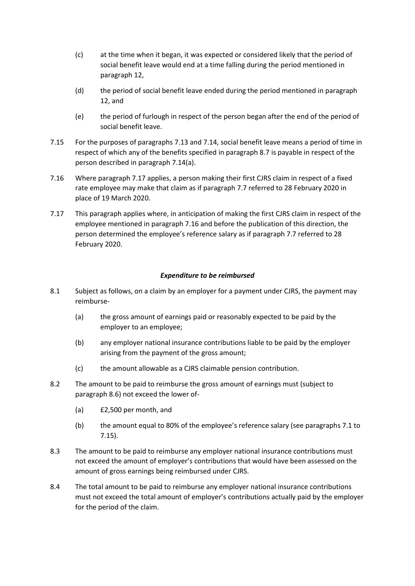- (c) at the time when it began, it was expected or considered likely that the period of social benefit leave would end at a time falling during the period mentioned in paragraph 12,
- (d) the period of social benefit leave ended during the period mentioned in paragraph 12, and
- (e) the period of furlough in respect of the person began after the end of the period of social benefit leave.
- 7.15 For the purposes of paragraphs 7.13 and 7.14, social benefit leave means a period of time in respect of which any of the benefits specified in paragraph 8.7 is payable in respect of the person described in paragraph 7.14(a).
- 7.16 Where paragraph 7.17 applies, a person making their first CJRS claim in respect of a fixed rate employee may make that claim as if paragraph 7.7 referred to 28 February 2020 in place of 19 March 2020.
- 7.17 This paragraph applies where, in anticipation of making the first CJRS claim in respect of the employee mentioned in paragraph 7.16 and before the publication of this direction, the person determined the employee's reference salary as if paragraph 7.7 referred to 28 February 2020.

### *Expenditure to be reimbursed*

- 8.1 Subject as follows, on a claim by an employer for a payment under CJRS, the payment may reimburse-
	- (a) the gross amount of earnings paid or reasonably expected to be paid by the employer to an employee;
	- (b) any employer national insurance contributions liable to be paid by the employer arising from the payment of the gross amount;
	- (c) the amount allowable as a CJRS claimable pension contribution.
- 8.2 The amount to be paid to reimburse the gross amount of earnings must (subject to paragraph 8.6) not exceed the lower of-
	- (a) £2,500 per month, and
	- (b) the amount equal to 80% of the employee's reference salary (see paragraphs 7.1 to 7.15).
- 8.3 The amount to be paid to reimburse any employer national insurance contributions must not exceed the amount of employer's contributions that would have been assessed on the amount of gross earnings being reimbursed under CJRS.
- 8.4 The total amount to be paid to reimburse any employer national insurance contributions must not exceed the total amount of employer's contributions actually paid by the employer for the period of the claim.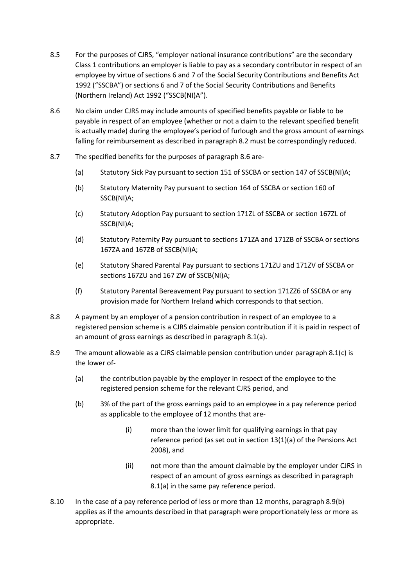- 8.5 For the purposes of CJRS, "employer national insurance contributions" are the secondary Class 1 contributions an employer is liable to pay as a secondary contributor in respect of an employee by virtue of sections 6 and 7 of the Social Security Contributions and Benefits Act 1992 ("SSCBA") or sections 6 and 7 of the Social Security Contributions and Benefits (Northern Ireland) Act 1992 ("SSCB(NI)A").
- 8.6 No claim under CJRS may include amounts of specified benefits payable or liable to be payable in respect of an employee (whether or not a claim to the relevant specified benefit is actually made) during the employee's period of furlough and the gross amount of earnings falling for reimbursement as described in paragraph 8.2 must be correspondingly reduced.
- 8.7 The specified benefits for the purposes of paragraph 8.6 are-
	- (a) Statutory Sick Pay pursuant to section 151 of SSCBA or section 147 of SSCB(NI)A;
	- (b) Statutory Maternity Pay pursuant to section 164 of SSCBA or section 160 of SSCB(NI)A;
	- (c) Statutory Adoption Pay pursuant to section 171ZL of SSCBA or section 167ZL of SSCB(NI)A;
	- (d) Statutory Paternity Pay pursuant to sections 171ZA and 171ZB of SSCBA or sections 167ZA and 167ZB of SSCB(NI)A;
	- (e) Statutory Shared Parental Pay pursuant to sections 171ZU and 171ZV of SSCBA or sections 167ZU and 167 ZW of SSCB(NI)A;
	- (f) Statutory Parental Bereavement Pay pursuant to section 171ZZ6 of SSCBA or any provision made for Northern Ireland which corresponds to that section.
- 8.8 A payment by an employer of a pension contribution in respect of an employee to a registered pension scheme is a CJRS claimable pension contribution if it is paid in respect of an amount of gross earnings as described in paragraph 8.1(a).
- 8.9 The amount allowable as a CJRS claimable pension contribution under paragraph 8.1(c) is the lower of-
	- (a) the contribution payable by the employer in respect of the employee to the registered pension scheme for the relevant CJRS period, and
	- (b) 3% of the part of the gross earnings paid to an employee in a pay reference period as applicable to the employee of 12 months that are-
		- (i) more than the lower limit for qualifying earnings in that pay reference period (as set out in section 13(1)(a) of the Pensions Act 2008), and
		- (ii) not more than the amount claimable by the employer under CJRS in respect of an amount of gross earnings as described in paragraph 8.1(a) in the same pay reference period.
- 8.10 In the case of a pay reference period of less or more than 12 months, paragraph 8.9(b) applies as if the amounts described in that paragraph were proportionately less or more as appropriate.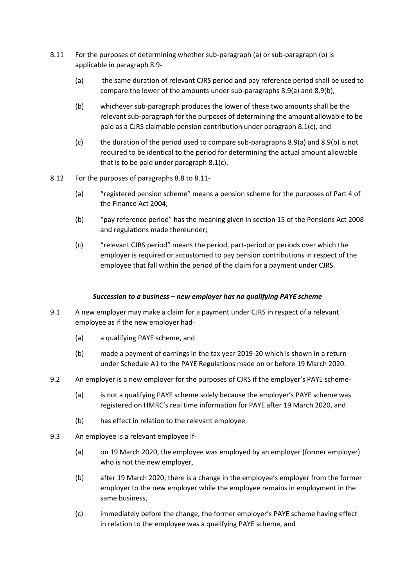- 8.11 For the purposes of determining whether sub-paragraph (a) or sub-paragraph (b) is applicable in paragraph 8.9-
	- (a) the same duration of relevant CJRS period and pay reference period shall be used to compare the lower of the amounts under sub-paragraphs 8.9(a) and 8.9(b),
	- (b) whichever sub-paragraph produces the lower of these two amounts shall be the relevant sub-paragraph for the purposes of determining the amount allowable to be paid as a CJRS claimable pension contribution under paragraph 8.1(c), and
	- (c) the duration of the period used to compare sub-paragraphs 8.9(a) and 8.9(b) is not required to be identical to the period for determining the actual amount allowable that is to be paid under paragraph 8.1(c).
- 8.12 For the purposes of paragraphs 8.8 to 8.11-
	- (a) "registered pension scheme" means a pension scheme for the purposes of Part 4 of the Finance Act 2004;
	- (b) "pay reference period" has the meaning given in section 15 of the Pensions Act 2008 and regulations made thereunder;
	- (c) "relevant CJRS period" means the period, part-period or periods over which the employer is required or accustomed to pay pension contributions in respect of the employee that fall within the period of the claim for a payment under CJRS.

#### *Succession to a business – new employer has no qualifying PAYE scheme*

- 9.1 A new employer may make a claim for a payment under CJRS in respect of a relevant employee as if the new employer had-
	- (a) a qualifying PAYE scheme, and
	- (b) made a payment of earnings in the tax year 2019-20 which is shown in a return under Schedule A1 to the PAYE Regulations made on or before 19 March 2020.
- 9.2 An employer is a new employer for the purposes of CJRS if the employer's PAYE scheme-
	- (a) is not a qualifying PAYE scheme solely because the employer's PAYE scheme was registered on HMRC's real time information for PAYE after 19 March 2020, and
	- (b) has effect in relation to the relevant employee.
- 9.3 An employee is a relevant employee if-
	- (a) on 19 March 2020, the employee was employed by an employer (former employer) who is not the new employer,
	- (b) after 19 March 2020, there is a change in the employee's employer from the former employer to the new employer while the employee remains in employment in the same business,
	- (c) immediately before the change, the former employer's PAYE scheme having effect in relation to the employee was a qualifying PAYE scheme, and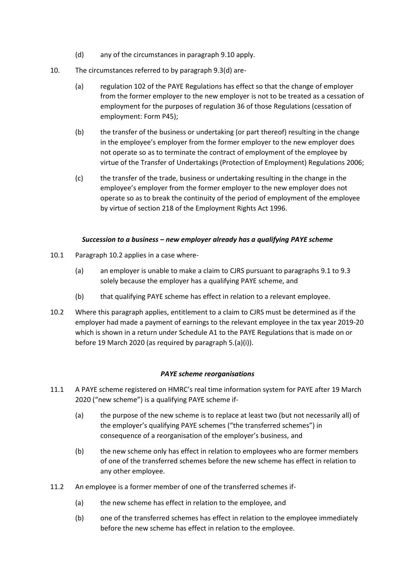- (d) any of the circumstances in paragraph 9.10 apply.
- 10. The circumstances referred to by paragraph 9.3(d) are-
	- (a) regulation 102 of the PAYE Regulations has effect so that the change of employer from the former employer to the new employer is not to be treated as a cessation of employment for the purposes of regulation 36 of those Regulations (cessation of employment: Form P45);
	- (b) the transfer of the business or undertaking (or part thereof) resulting in the change in the employee's employer from the former employer to the new employer does not operate so as to terminate the contract of employment of the employee by virtue of the Transfer of Undertakings (Protection of Employment) Regulations 2006;
	- (c) the transfer of the trade, business or undertaking resulting in the change in the employee's employer from the former employer to the new employer does not operate so as to break the continuity of the period of employment of the employee by virtue of section 218 of the Employment Rights Act 1996.

#### *Succession to a business – new employer already has a qualifying PAYE scheme*

- 10.1 Paragraph 10.2 applies in a case where-
	- (a) an employer is unable to make a claim to CJRS pursuant to paragraphs 9.1 to 9.3 solely because the employer has a qualifying PAYE scheme, and
	- (b) that qualifying PAYE scheme has effect in relation to a relevant employee.
- 10.2 Where this paragraph applies, entitlement to a claim to CJRS must be determined as if the employer had made a payment of earnings to the relevant employee in the tax year 2019-20 which is shown in a return under Schedule A1 to the PAYE Regulations that is made on or before 19 March 2020 (as required by paragraph 5.(a)(i)).

#### *PAYE scheme reorganisations*

- 11.1 A PAYE scheme registered on HMRC's real time information system for PAYE after 19 March 2020 ("new scheme") is a qualifying PAYE scheme if-
	- (a) the purpose of the new scheme is to replace at least two (but not necessarily all) of the employer's qualifying PAYE schemes ("the transferred schemes") in consequence of a reorganisation of the employer's business, and
	- (b) the new scheme only has effect in relation to employees who are former members of one of the transferred schemes before the new scheme has effect in relation to any other employee.
- 11.2 An employee is a former member of one of the transferred schemes if-
	- (a) the new scheme has effect in relation to the employee, and
	- (b) one of the transferred schemes has effect in relation to the employee immediately before the new scheme has effect in relation to the employee.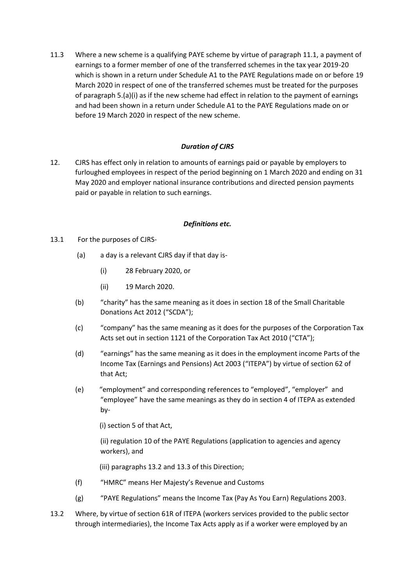11.3 Where a new scheme is a qualifying PAYE scheme by virtue of paragraph 11.1, a payment of earnings to a former member of one of the transferred schemes in the tax year 2019-20 which is shown in a return under Schedule A1 to the PAYE Regulations made on or before 19 March 2020 in respect of one of the transferred schemes must be treated for the purposes of paragraph 5.(a)(i) as if the new scheme had effect in relation to the payment of earnings and had been shown in a return under Schedule A1 to the PAYE Regulations made on or before 19 March 2020 in respect of the new scheme.

# *Duration of CJRS*

12. CJRS has effect only in relation to amounts of earnings paid or payable by employers to furloughed employees in respect of the period beginning on 1 March 2020 and ending on 31 May 2020 and employer national insurance contributions and directed pension payments paid or payable in relation to such earnings.

### *Definitions etc.*

- 13.1 For the purposes of CJRS-
	- (a) a day is a relevant CJRS day if that day is-
		- (i) 28 February 2020, or
		- (ii) 19 March 2020.
	- (b) "charity" has the same meaning as it does in section 18 of the Small Charitable Donations Act 2012 ("SCDA");
	- (c) "company" has the same meaning as it does for the purposes of the Corporation Tax Acts set out in section 1121 of the Corporation Tax Act 2010 ("CTA");
	- (d) "earnings" has the same meaning as it does in the employment income Parts of the Income Tax (Earnings and Pensions) Act 2003 ("ITEPA") by virtue of section 62 of that Act;
	- (e) "employment" and corresponding references to "employed", "employer" and "employee" have the same meanings as they do in section 4 of ITEPA as extended by-

(i) section 5 of that Act,

(ii) regulation 10 of the PAYE Regulations (application to agencies and agency workers), and

(iii) paragraphs 13.2 and 13.3 of this Direction;

- (f) "HMRC" means Her Majesty's Revenue and Customs
- (g) "PAYE Regulations" means the Income Tax (Pay As You Earn) Regulations 2003.
- 13.2 Where, by virtue of section 61R of ITEPA (workers services provided to the public sector through intermediaries), the Income Tax Acts apply as if a worker were employed by an